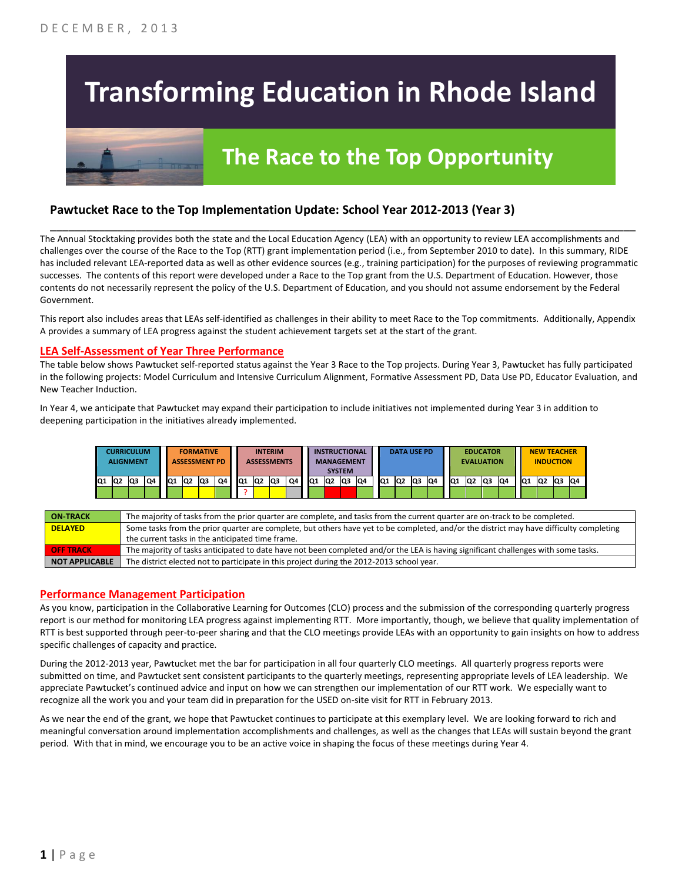# **Transforming Education in Rhode Island**

## **The Race to the Top Opportunity**

#### **Pawtucket Race to the Top Implementation Update: School Year 2012-2013 (Year 3)**

The Annual Stocktaking provides both the state and the Local Education Agency (LEA) with an opportunity to review LEA accomplishments and challenges over the course of the Race to the Top (RTT) grant implementation period (i.e., from September 2010 to date). In this summary, RIDE has included relevant LEA-reported data as well as other evidence sources (e.g., training participation) for the purposes of reviewing programmatic successes. The contents of this report were developed under a Race to the Top grant from the U.S. Department of Education. However, those contents do not necessarily represent the policy of the U.S. Department of Education, and you should not assume endorsement by the Federal Government.

\_\_\_\_\_\_\_\_\_\_\_\_\_\_\_\_\_\_\_\_\_\_\_\_\_\_\_\_\_\_\_\_\_\_\_\_\_\_\_\_\_\_\_\_\_\_\_\_\_\_\_\_\_\_\_\_\_\_\_\_\_\_\_\_\_\_\_\_\_\_\_\_\_\_\_\_\_\_\_\_\_\_\_\_\_\_\_\_\_\_\_\_\_\_\_\_

This report also includes areas that LEAs self-identified as challenges in their ability to meet Race to the Top commitments. Additionally, Appendix A provides a summary of LEA progress against the student achievement targets set at the start of the grant.

#### **LEA Self-Assessment of Year Three Performance**

The table below shows Pawtucket self-reported status against the Year 3 Race to the Top projects. During Year 3, Pawtucket has fully participated in the following projects: Model Curriculum and Intensive Curriculum Alignment, Formative Assessment PD, Data Use PD, Educator Evaluation, and New Teacher Induction.

In Year 4, we anticipate that Pawtucket may expand their participation to include initiatives not implemented during Year 3 in addition to deepening participation in the initiatives already implemented.



| <b>ON TRACK</b>       | The majority of tasks from the prior quarter are complete, and tasks from the current quarter are on-track to be completed.             |
|-----------------------|-----------------------------------------------------------------------------------------------------------------------------------------|
| <b>DELAYED</b>        | Some tasks from the prior quarter are complete, but others have yet to be completed, and/or the district may have difficulty completing |
|                       | the current tasks in the anticipated time frame.                                                                                        |
| <b>OFF TRACK</b>      | The majority of tasks anticipated to date have not been completed and/or the LEA is having significant challenges with some tasks.      |
| <b>NOT APPLICABLE</b> | The district elected not to participate in this project during the 2012-2013 school year.                                               |

#### **Performance Management Participation**

As you know, participation in the Collaborative Learning for Outcomes (CLO) process and the submission of the corresponding quarterly progress report is our method for monitoring LEA progress against implementing RTT. More importantly, though, we believe that quality implementation of RTT is best supported through peer-to-peer sharing and that the CLO meetings provide LEAs with an opportunity to gain insights on how to address specific challenges of capacity and practice.

During the 2012-2013 year, Pawtucket met the bar for participation in all four quarterly CLO meetings. All quarterly progress reports were submitted on time, and Pawtucket sent consistent participants to the quarterly meetings, representing appropriate levels of LEA leadership. We appreciate Pawtucket's continued advice and input on how we can strengthen our implementation of our RTT work. We especially want to recognize all the work you and your team did in preparation for the USED on-site visit for RTT in February 2013.

As we near the end of the grant, we hope that Pawtucket continues to participate at this exemplary level. We are looking forward to rich and meaningful conversation around implementation accomplishments and challenges, as well as the changes that LEAs will sustain beyond the grant period. With that in mind, we encourage you to be an active voice in shaping the focus of these meetings during Year 4.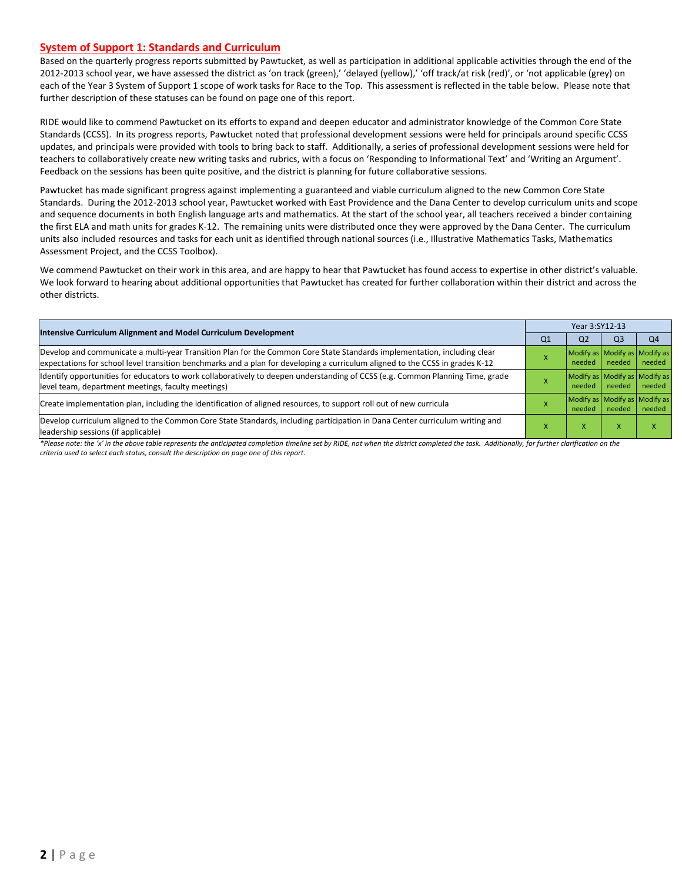#### **System of Support 1: Standards and Curriculum**

Based on the quarterly progress reports submitted by Pawtucket, as well as participation in additional applicable activities through the end of the 2012-2013 school year, we have assessed the district as 'on track (green),' 'delayed (yellow),' 'off track/at risk (red)', or 'not applicable (grey) on each of the Year 3 System of Support 1 scope of work tasks for Race to the Top. This assessment is reflected in the table below. Please note that further description of these statuses can be found on page one of this report.

RIDE would like to commend Pawtucket on its efforts to expand and deepen educator and administrator knowledge of the Common Core State Standards (CCSS). In its progress reports, Pawtucket noted that professional development sessions were held for principals around specific CCSS updates, and principals were provided with tools to bring back to staff. Additionally, a series of professional development sessions were held for teachers to collaboratively create new writing tasks and rubrics, with a focus on 'Responding to Informational Text' and 'Writing an Argument'. Feedback on the sessions has been quite positive, and the district is planning for future collaborative sessions.

Pawtucket has made significant progress against implementing a guaranteed and viable curriculum aligned to the new Common Core State Standards. During the 2012-2013 school year, Pawtucket worked with East Providence and the Dana Center to develop curriculum units and scope and sequence documents in both English language arts and mathematics. At the start of the school year, all teachers received a binder containing the first ELA and math units for grades K-12. The remaining units were distributed once they were approved by the Dana Center. The curriculum units also included resources and tasks for each unit as identified through national sources (i.e., Illustrative Mathematics Tasks, Mathematics Assessment Project, and the CCSS Toolbox).

We commend Pawtucket on their work in this area, and are happy to hear that Pawtucket has found access to expertise in other district's valuable. We look forward to hearing about additional opportunities that Pawtucket has created for further collaboration within their district and across the other districts.

| Intensive Curriculum Alignment and Model Curriculum Development                                                                                                                                                                                           | Year 3:SY12-13 |                                         |                |        |  |  |
|-----------------------------------------------------------------------------------------------------------------------------------------------------------------------------------------------------------------------------------------------------------|----------------|-----------------------------------------|----------------|--------|--|--|
|                                                                                                                                                                                                                                                           | Q <sub>1</sub> | Q <sub>2</sub>                          | Q <sub>3</sub> | Q4     |  |  |
| Develop and communicate a multi-year Transition Plan for the Common Core State Standards implementation, including clear<br>expectations for school level transition benchmarks and a plan for developing a curriculum aligned to the CCSS in grades K-12 |                | Modify as Modify as Modify as<br>needed | needed         | needed |  |  |
| Identify opportunities for educators to work collaboratively to deepen understanding of CCSS (e.g. Common Planning Time, grade<br>level team, department meetings, faculty meetings)                                                                      |                | Modify as Modify as Modify as<br>needed | needed         | needed |  |  |
| Create implementation plan, including the identification of aligned resources, to support roll out of new curricula                                                                                                                                       |                | Modify as Modify as Modify as<br>needed | needed         | needed |  |  |
| Develop curriculum aligned to the Common Core State Standards, including participation in Dana Center curriculum writing and<br>leadership sessions (if applicable)                                                                                       |                | ж                                       | x              |        |  |  |

\*Please note: the 'x' in the above table represents the anticipated completion timeline set by RIDE, not when the district completed the task. Additionally, for further clarification on the *criteria used to select each status, consult the description on page one of this report.*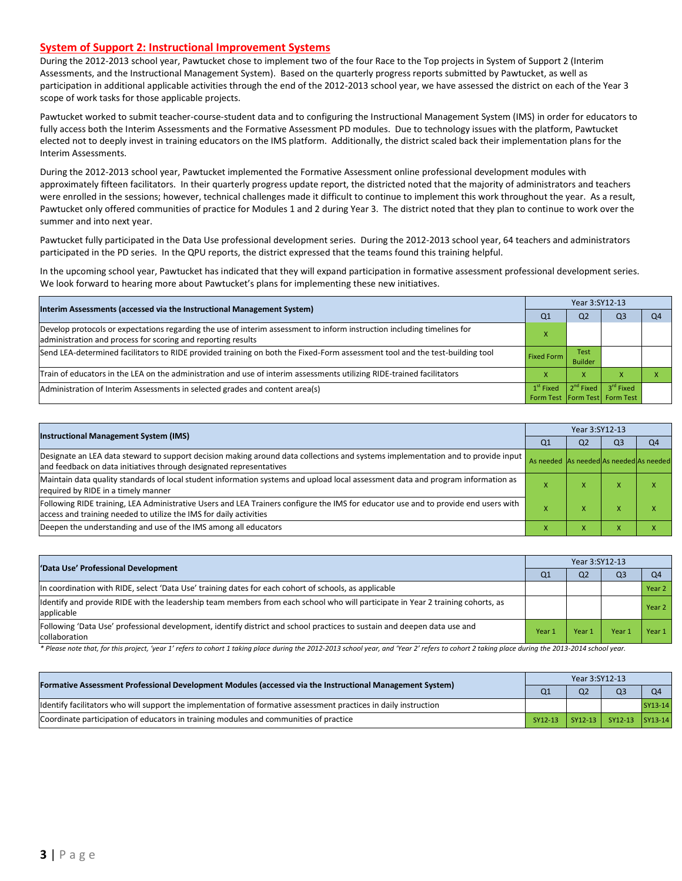#### **System of Support 2: Instructional Improvement Systems**

During the 2012-2013 school year, Pawtucket chose to implement two of the four Race to the Top projects in System of Support 2 (Interim Assessments, and the Instructional Management System). Based on the quarterly progress reports submitted by Pawtucket, as well as participation in additional applicable activities through the end of the 2012-2013 school year, we have assessed the district on each of the Year 3 scope of work tasks for those applicable projects.

Pawtucket worked to submit teacher-course-student data and to configuring the Instructional Management System (IMS) in order for educators to fully access both the Interim Assessments and the Formative Assessment PD modules. Due to technology issues with the platform, Pawtucket elected not to deeply invest in training educators on the IMS platform. Additionally, the district scaled back their implementation plans for the Interim Assessments.

During the 2012-2013 school year, Pawtucket implemented the Formative Assessment online professional development modules with approximately fifteen facilitators. In their quarterly progress update report, the districted noted that the majority of administrators and teachers were enrolled in the sessions; however, technical challenges made it difficult to continue to implement this work throughout the year. As a result, Pawtucket only offered communities of practice for Modules 1 and 2 during Year 3. The district noted that they plan to continue to work over the summer and into next year.

Pawtucket fully participated in the Data Use professional development series. During the 2012-2013 school year, 64 teachers and administrators participated in the PD series. In the QPU reports, the district expressed that the teams found this training helpful.

In the upcoming school year, Pawtucket has indicated that they will expand participation in formative assessment professional development series. We look forward to hearing more about Pawtucket's plans for implementing these new initiatives.

| Interim Assessments (accessed via the Instructional Management System)                                                                                                                  |                    |                        |                                                            |    |
|-----------------------------------------------------------------------------------------------------------------------------------------------------------------------------------------|--------------------|------------------------|------------------------------------------------------------|----|
|                                                                                                                                                                                         | Q1                 | Q <sub>2</sub>         | Q3                                                         | Q4 |
| Develop protocols or expectations regarding the use of interim assessment to inform instruction including timelines for<br>administration and process for scoring and reporting results |                    |                        |                                                            |    |
| Send LEA-determined facilitators to RIDE provided training on both the Fixed-Form assessment tool and the test-building tool                                                            | <b>Fixed Form</b>  | Test<br><b>Builder</b> |                                                            |    |
| Train of educators in the LEA on the administration and use of interim assessments utilizing RIDE-trained facilitators                                                                  | $\mathbf v$        | X                      |                                                            |    |
| Administration of Interim Assessments in selected grades and content area(s)                                                                                                            | $1^{\rm st}$ Fixed |                        | $2nd Fixed 3rd Fixed$<br>Form Test   Form Test   Form Test |    |

| <b>Instructional Management System (IMS)</b>                                                                                                                                                              | Year 3:SY12-13                          |                |                |                |  |  |
|-----------------------------------------------------------------------------------------------------------------------------------------------------------------------------------------------------------|-----------------------------------------|----------------|----------------|----------------|--|--|
|                                                                                                                                                                                                           | Q <sub>1</sub>                          | Q <sub>2</sub> | Q <sub>3</sub> | Q <sub>4</sub> |  |  |
| Designate an LEA data steward to support decision making around data collections and systems implementation and to provide input<br>and feedback on data initiatives through designated representatives   | As needed As needed As needed As needed |                |                |                |  |  |
| Maintain data quality standards of local student information systems and upload local assessment data and program information as<br>required by RIDE in a timely manner                                   |                                         |                |                |                |  |  |
| Following RIDE training, LEA Administrative Users and LEA Trainers configure the IMS for educator use and to provide end users with<br>access and training needed to utilize the IMS for daily activities |                                         |                |                | ↗              |  |  |
| Deepen the understanding and use of the IMS among all educators                                                                                                                                           |                                         |                |                |                |  |  |

| 'Data Use' Professional Development                                                                                                           |        | Year 3:SY12-13 |                |                |  |  |
|-----------------------------------------------------------------------------------------------------------------------------------------------|--------|----------------|----------------|----------------|--|--|
|                                                                                                                                               | Q1     | Q <sub>2</sub> | Q <sub>3</sub> | Q <sub>4</sub> |  |  |
| In coordination with RIDE, select 'Data Use' training dates for each cohort of schools, as applicable                                         |        |                |                | Year 2         |  |  |
| Identify and provide RIDE with the leadership team members from each school who will participate in Year 2 training cohorts, as<br>applicable |        |                |                | Year 2         |  |  |
| [Following 'Data Use' professional development, identify district and school practices to sustain and deepen data use and<br>collaboration    | Year 1 | Year 1         | Year           | Year 1         |  |  |

\* Please note that, for this project, 'year 1' refers to cohort 1 taking place during the 2012-2013 school year, and 'Year 2' refers to cohort 2 taking place during the 2013-2014 school year.

| [Formative Assessment Professional Development Modules (accessed via the Instructional Management System)        | Year 3:SY12-13 |                |                         |                |  |  |
|------------------------------------------------------------------------------------------------------------------|----------------|----------------|-------------------------|----------------|--|--|
|                                                                                                                  |                | Q <sub>2</sub> | Q <sub>3</sub>          | O <sub>4</sub> |  |  |
| ldentify facilitators who will support the implementation of formative assessment practices in daily instruction |                |                |                         | $SY13-14$      |  |  |
| Coordinate participation of educators in training modules and communities of practice                            | SY12-13        |                | SY12-13 SY12-13 SY13-14 |                |  |  |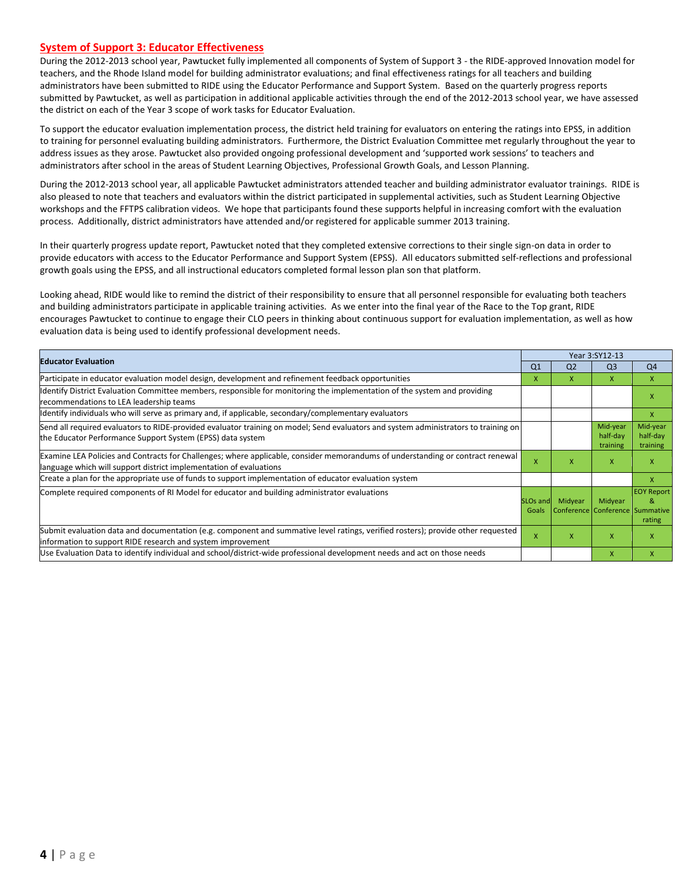#### **System of Support 3: Educator Effectiveness**

During the 2012-2013 school year, Pawtucket fully implemented all components of System of Support 3 - the RIDE-approved Innovation model for teachers, and the Rhode Island model for building administrator evaluations; and final effectiveness ratings for all teachers and building administrators have been submitted to RIDE using the Educator Performance and Support System. Based on the quarterly progress reports submitted by Pawtucket, as well as participation in additional applicable activities through the end of the 2012-2013 school year, we have assessed the district on each of the Year 3 scope of work tasks for Educator Evaluation.

To support the educator evaluation implementation process, the district held training for evaluators on entering the ratings into EPSS, in addition to training for personnel evaluating building administrators. Furthermore, the District Evaluation Committee met regularly throughout the year to address issues as they arose. Pawtucket also provided ongoing professional development and 'supported work sessions' to teachers and administrators after school in the areas of Student Learning Objectives, Professional Growth Goals, and Lesson Planning.

During the 2012-2013 school year, all applicable Pawtucket administrators attended teacher and building administrator evaluator trainings. RIDE is also pleased to note that teachers and evaluators within the district participated in supplemental activities, such as Student Learning Objective workshops and the FFTPS calibration videos. We hope that participants found these supports helpful in increasing comfort with the evaluation process. Additionally, district administrators have attended and/or registered for applicable summer 2013 training.

In their quarterly progress update report, Pawtucket noted that they completed extensive corrections to their single sign-on data in order to provide educators with access to the Educator Performance and Support System (EPSS). All educators submitted self-reflections and professional growth goals using the EPSS, and all instructional educators completed formal lesson plan son that platform.

Looking ahead, RIDE would like to remind the district of their responsibility to ensure that all personnel responsible for evaluating both teachers and building administrators participate in applicable training activities. As we enter into the final year of the Race to the Top grant, RIDE encourages Pawtucket to continue to engage their CLO peers in thinking about continuous support for evaluation implementation, as well as how evaluation data is being used to identify professional development needs.

| <b>Educator Evaluation</b>                                                                                                                                                                           |                               |                                            | Year 3:SY12-13                   |                                  |  |
|------------------------------------------------------------------------------------------------------------------------------------------------------------------------------------------------------|-------------------------------|--------------------------------------------|----------------------------------|----------------------------------|--|
|                                                                                                                                                                                                      | Q <sub>1</sub>                | Q <sub>2</sub>                             | Q <sub>3</sub>                   | Q <sub>4</sub>                   |  |
| Participate in educator evaluation model design, development and refinement feedback opportunities                                                                                                   | X                             | X.                                         | $\mathsf{X}$                     | $\mathsf{x}$                     |  |
| Identify District Evaluation Committee members, responsible for monitoring the implementation of the system and providing<br>recommendations to LEA leadership teams                                 |                               |                                            |                                  | x                                |  |
| ldentify individuals who will serve as primary and, if applicable, secondary/complementary evaluators                                                                                                |                               |                                            |                                  | $\mathsf{x}$                     |  |
| Send all required evaluators to RIDE-provided evaluator training on model; Send evaluators and system administrators to training on<br>the Educator Performance Support System (EPSS) data system    |                               |                                            | Mid-year<br>half-day<br>training | Mid-year<br>half-day<br>training |  |
| Examine LEA Policies and Contracts for Challenges; where applicable, consider memorandums of understanding or contract renewal<br>language which will support district implementation of evaluations | x                             | X                                          | X                                | X                                |  |
| Create a plan for the appropriate use of funds to support implementation of educator evaluation system                                                                                               |                               |                                            |                                  | X                                |  |
| Complete required components of RI Model for educator and building administrator evaluations                                                                                                         | SLO <sub>s</sub> and<br>Goals | Midyear<br>Conference Conference Summative | Midyear                          | <b>EOY Report</b><br>&<br>rating |  |
| Submit evaluation data and documentation (e.g. component and summative level ratings, verified rosters); provide other requested<br>information to support RIDE research and system improvement      | X                             | X                                          | $\mathsf{x}$                     | X                                |  |
| Use Evaluation Data to identify individual and school/district-wide professional development needs and act on those needs                                                                            |                               |                                            | X                                | $\mathsf{x}$                     |  |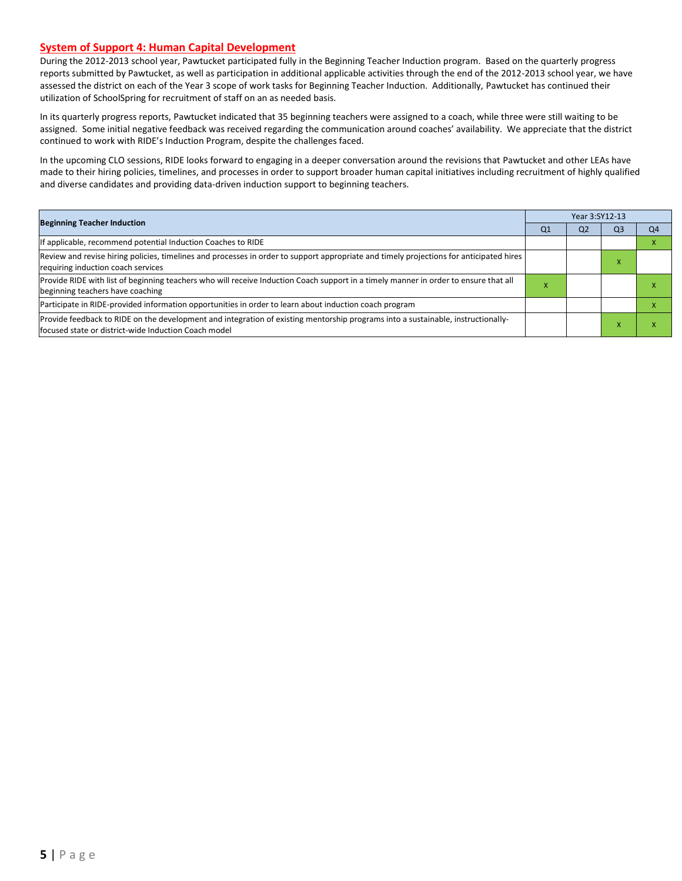#### **System of Support 4: Human Capital Development**

During the 2012-2013 school year, Pawtucket participated fully in the Beginning Teacher Induction program. Based on the quarterly progress reports submitted by Pawtucket, as well as participation in additional applicable activities through the end of the 2012-2013 school year, we have assessed the district on each of the Year 3 scope of work tasks for Beginning Teacher Induction. Additionally, Pawtucket has continued their utilization of SchoolSpring for recruitment of staff on an as needed basis.

In its quarterly progress reports, Pawtucket indicated that 35 beginning teachers were assigned to a coach, while three were still waiting to be assigned. Some initial negative feedback was received regarding the communication around coaches' availability. We appreciate that the district continued to work with RIDE's Induction Program, despite the challenges faced.

In the upcoming CLO sessions, RIDE looks forward to engaging in a deeper conversation around the revisions that Pawtucket and other LEAs have made to their hiring policies, timelines, and processes in order to support broader human capital initiatives including recruitment of highly qualified and diverse candidates and providing data-driven induction support to beginning teachers.

| <b>Beginning Teacher Induction</b>                                                                                                                                                       | Year 3:SY12-13 |                |                |                |  |
|------------------------------------------------------------------------------------------------------------------------------------------------------------------------------------------|----------------|----------------|----------------|----------------|--|
|                                                                                                                                                                                          | Q <sub>1</sub> | Q <sub>2</sub> | Q <sub>3</sub> | Q <sub>4</sub> |  |
| If applicable, recommend potential Induction Coaches to RIDE                                                                                                                             |                |                |                |                |  |
| Review and revise hiring policies, timelines and processes in order to support appropriate and timely projections for anticipated hires<br>requiring induction coach services            |                |                |                |                |  |
| Provide RIDE with list of beginning teachers who will receive Induction Coach support in a timely manner in order to ensure that all<br>beginning teachers have coaching                 | л              |                |                |                |  |
| Participate in RIDE-provided information opportunities in order to learn about induction coach program                                                                                   |                |                |                |                |  |
| Provide feedback to RIDE on the development and integration of existing mentorship programs into a sustainable, instructionally-<br>focused state or district-wide Induction Coach model |                |                |                |                |  |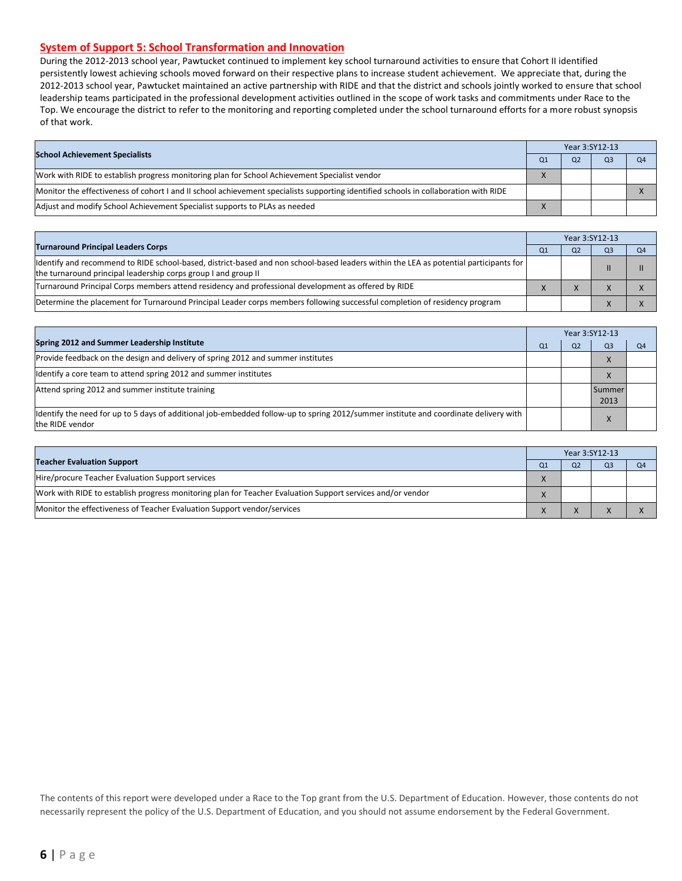#### **System of Support 5: School Transformation and Innovation**

During the 2012-2013 school year, Pawtucket continued to implement key school turnaround activities to ensure that Cohort II identified persistently lowest achieving schools moved forward on their respective plans to increase student achievement. We appreciate that, during the 2012-2013 school year, Pawtucket maintained an active partnership with RIDE and that the district and schools jointly worked to ensure that school leadership teams participated in the professional development activities outlined in the scope of work tasks and commitments under Race to the Top. We encourage the district to refer to the monitoring and reporting completed under the school turnaround efforts for a more robust synopsis of that work.

|                                                                                                                                      | Year 3:SY12-13 |                |    |
|--------------------------------------------------------------------------------------------------------------------------------------|----------------|----------------|----|
| <b>School Achievement Specialists</b>                                                                                                | O <sub>2</sub> | Q <sub>3</sub> | Q4 |
| Work with RIDE to establish progress monitoring plan for School Achievement Specialist vendor                                        |                |                |    |
| Monitor the effectiveness of cohort I and II school achievement specialists supporting identified schools in collaboration with RIDE |                |                |    |
| Adjust and modify School Achievement Specialist supports to PLAs as needed                                                           |                |                |    |

|                                                                                                                                                                                                         |  | Year 3:SY12-13 |                |
|---------------------------------------------------------------------------------------------------------------------------------------------------------------------------------------------------------|--|----------------|----------------|
| <b>Turnaround Principal Leaders Corps</b>                                                                                                                                                               |  | Q <sub>3</sub> | Q <sub>4</sub> |
| ldentify and recommend to RIDE school-based, district-based and non school-based leaders within the LEA as potential participants for<br>the turnaround principal leadership corps group I and group II |  |                |                |
| Turnaround Principal Corps members attend residency and professional development as offered by RIDE                                                                                                     |  |                |                |
| Determine the placement for Turnaround Principal Leader corps members following successful completion of residency program                                                                              |  |                |                |

|                                                                                                                                                         |                | Year 3:SY12-13 |                |    |  |  |
|---------------------------------------------------------------------------------------------------------------------------------------------------------|----------------|----------------|----------------|----|--|--|
| Spring 2012 and Summer Leadership Institute                                                                                                             | O <sub>1</sub> | Q <sub>2</sub> | Q <sub>3</sub> | Q4 |  |  |
| Provide feedback on the design and delivery of spring 2012 and summer institutes                                                                        |                |                | X              |    |  |  |
| Identify a core team to attend spring 2012 and summer institutes                                                                                        |                |                | $\lambda$      |    |  |  |
| Attend spring 2012 and summer institute training                                                                                                        |                |                | Summer<br>2013 |    |  |  |
| ldentify the need for up to 5 days of additional job-embedded follow-up to spring 2012/summer institute and coordinate delivery with<br>the RIDE vendor |                |                |                |    |  |  |

|                                                                                                            | Year 3:SY12-13 |    |                |  |
|------------------------------------------------------------------------------------------------------------|----------------|----|----------------|--|
| <b>Teacher Evaluation Support</b>                                                                          | Q1             | Ο2 | O <sub>3</sub> |  |
| Hire/procure Teacher Evaluation Support services                                                           |                |    |                |  |
| Work with RIDE to establish progress monitoring plan for Teacher Evaluation Support services and/or vendor |                |    |                |  |
| Monitor the effectiveness of Teacher Evaluation Support vendor/services                                    |                |    |                |  |

The contents of this report were developed under a Race to the Top grant from the U.S. Department of Education. However, those contents do not necessarily represent the policy of the U.S. Department of Education, and you should not assume endorsement by the Federal Government.